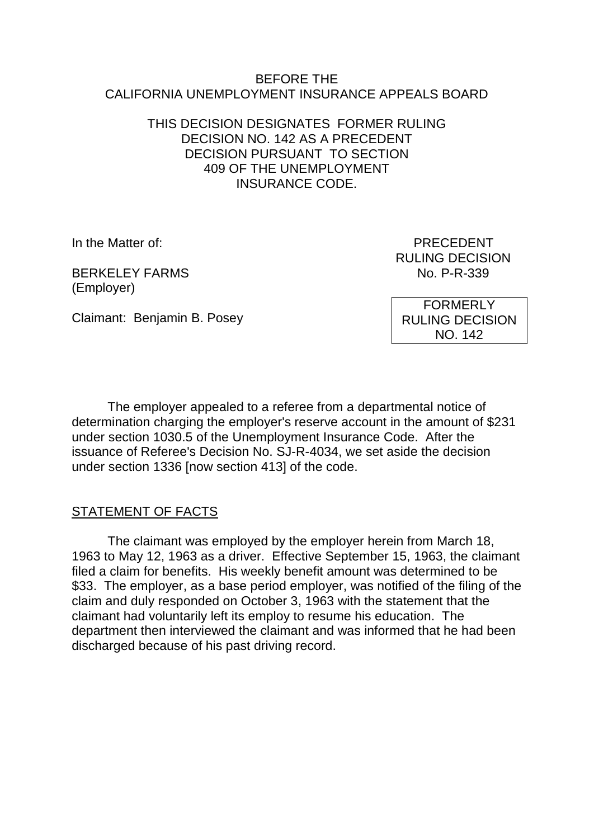#### BEFORE THE CALIFORNIA UNEMPLOYMENT INSURANCE APPEALS BOARD

### THIS DECISION DESIGNATES FORMER RULING DECISION NO. 142 AS A PRECEDENT DECISION PURSUANT TO SECTION 409 OF THE UNEMPLOYMENT INSURANCE CODE.

BERKELEY FARMS No. P-R-339 (Employer)

In the Matter of: PRECEDENT RULING DECISION

Claimant: Benjamin B. Posey

FORMERLY RULING DECISION NO. 142

The employer appealed to a referee from a departmental notice of determination charging the employer's reserve account in the amount of \$231 under section 1030.5 of the Unemployment Insurance Code. After the issuance of Referee's Decision No. SJ-R-4034, we set aside the decision under section 1336 [now section 413] of the code.

# STATEMENT OF FACTS

The claimant was employed by the employer herein from March 18, 1963 to May 12, 1963 as a driver. Effective September 15, 1963, the claimant filed a claim for benefits. His weekly benefit amount was determined to be \$33. The employer, as a base period employer, was notified of the filing of the claim and duly responded on October 3, 1963 with the statement that the claimant had voluntarily left its employ to resume his education. The department then interviewed the claimant and was informed that he had been discharged because of his past driving record.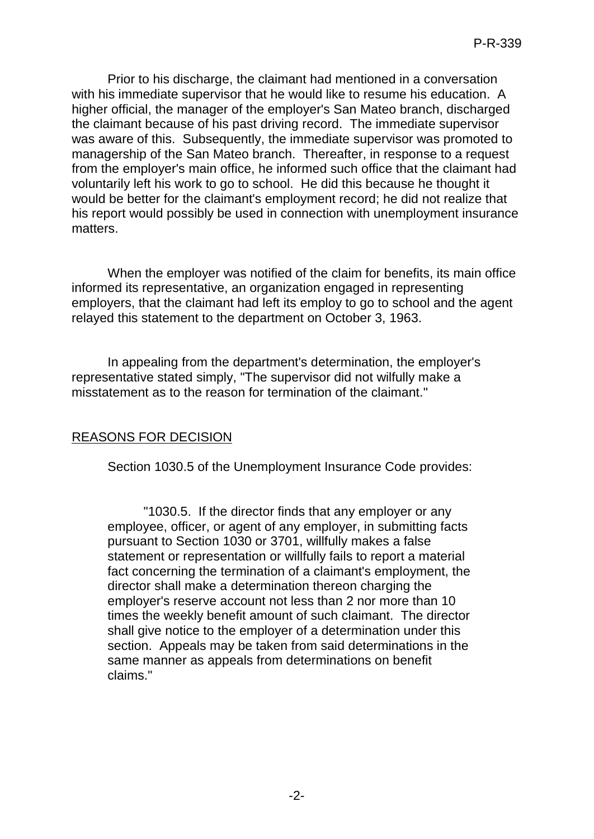Prior to his discharge, the claimant had mentioned in a conversation with his immediate supervisor that he would like to resume his education. A higher official, the manager of the employer's San Mateo branch, discharged the claimant because of his past driving record. The immediate supervisor was aware of this. Subsequently, the immediate supervisor was promoted to managership of the San Mateo branch. Thereafter, in response to a request from the employer's main office, he informed such office that the claimant had voluntarily left his work to go to school. He did this because he thought it would be better for the claimant's employment record; he did not realize that his report would possibly be used in connection with unemployment insurance matters.

When the employer was notified of the claim for benefits, its main office informed its representative, an organization engaged in representing employers, that the claimant had left its employ to go to school and the agent relayed this statement to the department on October 3, 1963.

In appealing from the department's determination, the employer's representative stated simply, "The supervisor did not wilfully make a misstatement as to the reason for termination of the claimant."

# REASONS FOR DECISION

Section 1030.5 of the Unemployment Insurance Code provides:

"1030.5. If the director finds that any employer or any employee, officer, or agent of any employer, in submitting facts pursuant to Section 1030 or 3701, willfully makes a false statement or representation or willfully fails to report a material fact concerning the termination of a claimant's employment, the director shall make a determination thereon charging the employer's reserve account not less than 2 nor more than 10 times the weekly benefit amount of such claimant. The director shall give notice to the employer of a determination under this section. Appeals may be taken from said determinations in the same manner as appeals from determinations on benefit claims."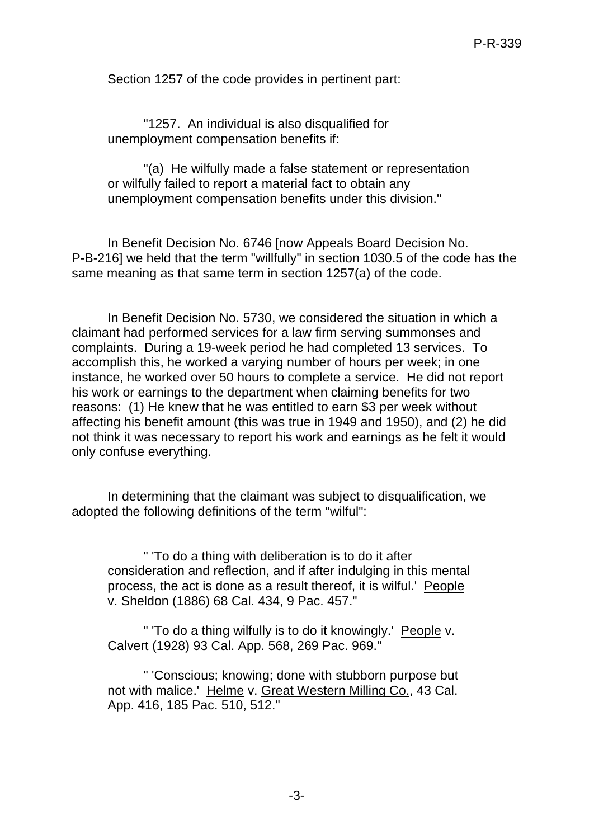Section 1257 of the code provides in pertinent part:

"1257. An individual is also disqualified for unemployment compensation benefits if:

"(a) He wilfully made a false statement or representation or wilfully failed to report a material fact to obtain any unemployment compensation benefits under this division."

In Benefit Decision No. 6746 [now Appeals Board Decision No. P-B-216] we held that the term "willfully" in section 1030.5 of the code has the same meaning as that same term in section 1257(a) of the code.

In Benefit Decision No. 5730, we considered the situation in which a claimant had performed services for a law firm serving summonses and complaints. During a 19-week period he had completed 13 services. To accomplish this, he worked a varying number of hours per week; in one instance, he worked over 50 hours to complete a service. He did not report his work or earnings to the department when claiming benefits for two reasons: (1) He knew that he was entitled to earn \$3 per week without affecting his benefit amount (this was true in 1949 and 1950), and (2) he did not think it was necessary to report his work and earnings as he felt it would only confuse everything.

In determining that the claimant was subject to disqualification, we adopted the following definitions of the term "wilful":

" 'To do a thing with deliberation is to do it after consideration and reflection, and if after indulging in this mental process, the act is done as a result thereof, it is wilful.' People v. Sheldon (1886) 68 Cal. 434, 9 Pac. 457."

" 'To do a thing wilfully is to do it knowingly.' People v. Calvert (1928) 93 Cal. App. 568, 269 Pac. 969."

" 'Conscious; knowing; done with stubborn purpose but not with malice.' Helme v. Great Western Milling Co., 43 Cal. App. 416, 185 Pac. 510, 512."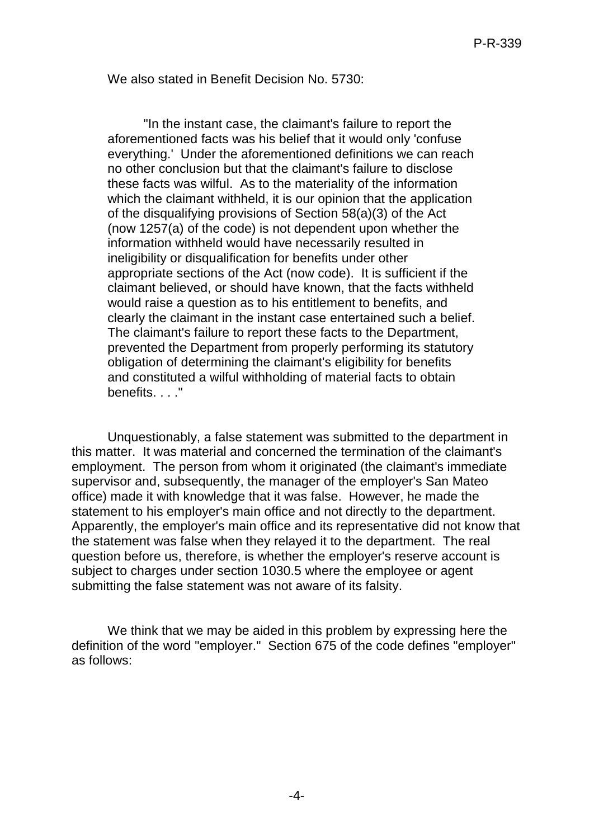We also stated in Benefit Decision No. 5730:

"In the instant case, the claimant's failure to report the aforementioned facts was his belief that it would only 'confuse everything.' Under the aforementioned definitions we can reach no other conclusion but that the claimant's failure to disclose these facts was wilful. As to the materiality of the information which the claimant withheld, it is our opinion that the application of the disqualifying provisions of Section 58(a)(3) of the Act (now 1257(a) of the code) is not dependent upon whether the information withheld would have necessarily resulted in ineligibility or disqualification for benefits under other appropriate sections of the Act (now code). It is sufficient if the claimant believed, or should have known, that the facts withheld would raise a question as to his entitlement to benefits, and clearly the claimant in the instant case entertained such a belief. The claimant's failure to report these facts to the Department, prevented the Department from properly performing its statutory obligation of determining the claimant's eligibility for benefits and constituted a wilful withholding of material facts to obtain benefits. . . . "

Unquestionably, a false statement was submitted to the department in this matter. It was material and concerned the termination of the claimant's employment. The person from whom it originated (the claimant's immediate supervisor and, subsequently, the manager of the employer's San Mateo office) made it with knowledge that it was false. However, he made the statement to his employer's main office and not directly to the department. Apparently, the employer's main office and its representative did not know that the statement was false when they relayed it to the department. The real question before us, therefore, is whether the employer's reserve account is subject to charges under section 1030.5 where the employee or agent submitting the false statement was not aware of its falsity.

We think that we may be aided in this problem by expressing here the definition of the word "employer." Section 675 of the code defines "employer" as follows: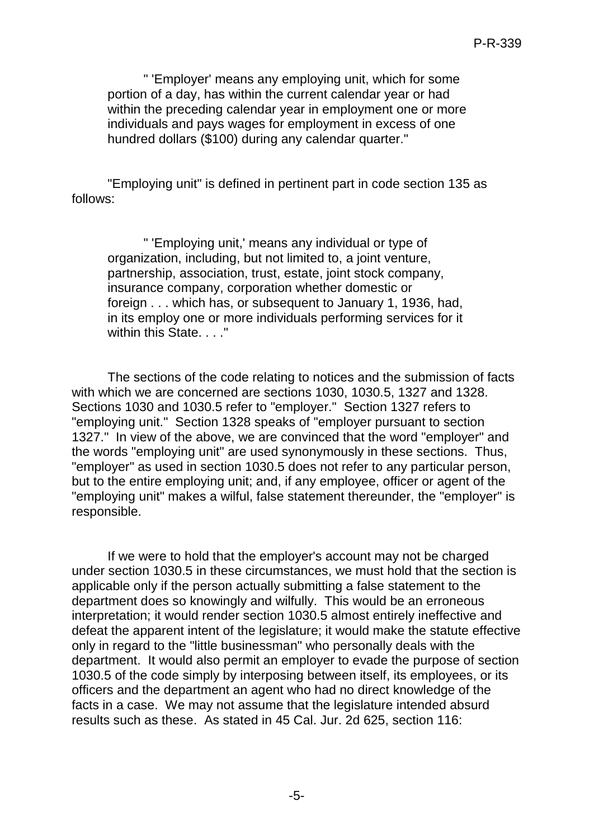" 'Employer' means any employing unit, which for some portion of a day, has within the current calendar year or had within the preceding calendar year in employment one or more individuals and pays wages for employment in excess of one hundred dollars (\$100) during any calendar quarter."

"Employing unit" is defined in pertinent part in code section 135 as follows:

" 'Employing unit,' means any individual or type of organization, including, but not limited to, a joint venture, partnership, association, trust, estate, joint stock company, insurance company, corporation whether domestic or foreign . . . which has, or subsequent to January 1, 1936, had, in its employ one or more individuals performing services for it within this State. . . ."

The sections of the code relating to notices and the submission of facts with which we are concerned are sections 1030, 1030.5, 1327 and 1328. Sections 1030 and 1030.5 refer to "employer." Section 1327 refers to "employing unit." Section 1328 speaks of "employer pursuant to section 1327." In view of the above, we are convinced that the word "employer" and the words "employing unit" are used synonymously in these sections. Thus, "employer" as used in section 1030.5 does not refer to any particular person, but to the entire employing unit; and, if any employee, officer or agent of the "employing unit" makes a wilful, false statement thereunder, the "employer" is responsible.

If we were to hold that the employer's account may not be charged under section 1030.5 in these circumstances, we must hold that the section is applicable only if the person actually submitting a false statement to the department does so knowingly and wilfully. This would be an erroneous interpretation; it would render section 1030.5 almost entirely ineffective and defeat the apparent intent of the legislature; it would make the statute effective only in regard to the "little businessman" who personally deals with the department. It would also permit an employer to evade the purpose of section 1030.5 of the code simply by interposing between itself, its employees, or its officers and the department an agent who had no direct knowledge of the facts in a case. We may not assume that the legislature intended absurd results such as these. As stated in 45 Cal. Jur. 2d 625, section 116: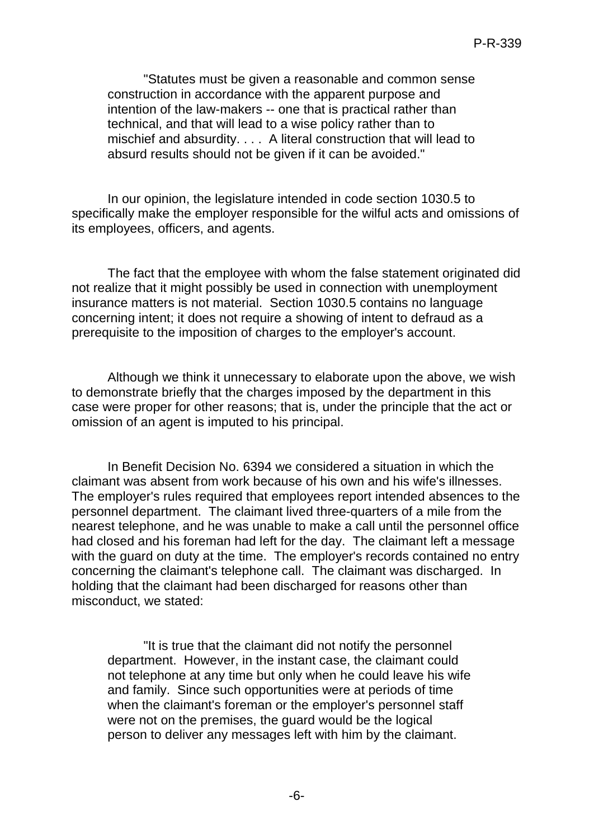"Statutes must be given a reasonable and common sense construction in accordance with the apparent purpose and intention of the law-makers -- one that is practical rather than technical, and that will lead to a wise policy rather than to mischief and absurdity. . . . A literal construction that will lead to absurd results should not be given if it can be avoided."

In our opinion, the legislature intended in code section 1030.5 to specifically make the employer responsible for the wilful acts and omissions of its employees, officers, and agents.

The fact that the employee with whom the false statement originated did not realize that it might possibly be used in connection with unemployment insurance matters is not material. Section 1030.5 contains no language concerning intent; it does not require a showing of intent to defraud as a prerequisite to the imposition of charges to the employer's account.

Although we think it unnecessary to elaborate upon the above, we wish to demonstrate briefly that the charges imposed by the department in this case were proper for other reasons; that is, under the principle that the act or omission of an agent is imputed to his principal.

In Benefit Decision No. 6394 we considered a situation in which the claimant was absent from work because of his own and his wife's illnesses. The employer's rules required that employees report intended absences to the personnel department. The claimant lived three-quarters of a mile from the nearest telephone, and he was unable to make a call until the personnel office had closed and his foreman had left for the day. The claimant left a message with the guard on duty at the time. The employer's records contained no entry concerning the claimant's telephone call. The claimant was discharged. In holding that the claimant had been discharged for reasons other than misconduct, we stated:

"It is true that the claimant did not notify the personnel department. However, in the instant case, the claimant could not telephone at any time but only when he could leave his wife and family. Since such opportunities were at periods of time when the claimant's foreman or the employer's personnel staff were not on the premises, the guard would be the logical person to deliver any messages left with him by the claimant.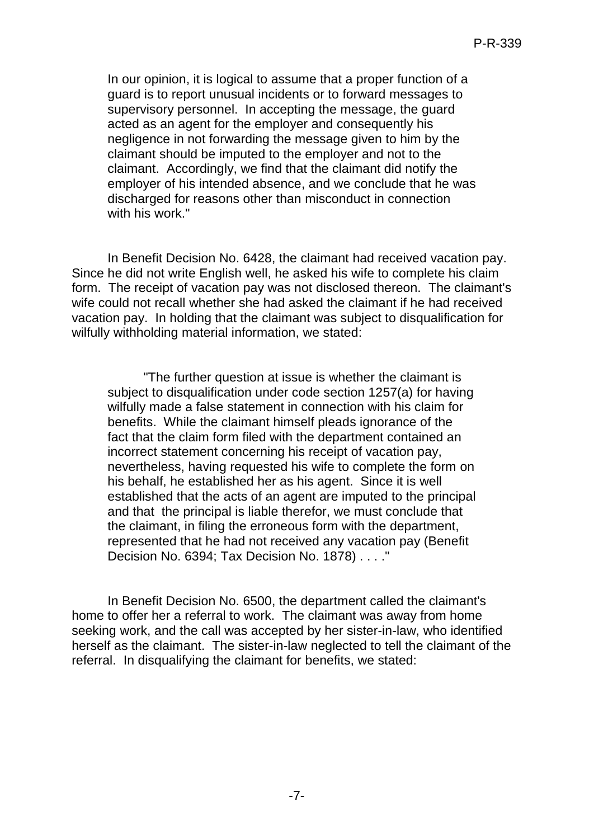In our opinion, it is logical to assume that a proper function of a guard is to report unusual incidents or to forward messages to supervisory personnel. In accepting the message, the guard acted as an agent for the employer and consequently his negligence in not forwarding the message given to him by the claimant should be imputed to the employer and not to the claimant. Accordingly, we find that the claimant did notify the employer of his intended absence, and we conclude that he was discharged for reasons other than misconduct in connection with his work."

In Benefit Decision No. 6428, the claimant had received vacation pay. Since he did not write English well, he asked his wife to complete his claim form. The receipt of vacation pay was not disclosed thereon. The claimant's wife could not recall whether she had asked the claimant if he had received vacation pay. In holding that the claimant was subject to disqualification for wilfully withholding material information, we stated:

"The further question at issue is whether the claimant is subject to disqualification under code section 1257(a) for having wilfully made a false statement in connection with his claim for benefits. While the claimant himself pleads ignorance of the fact that the claim form filed with the department contained an incorrect statement concerning his receipt of vacation pay, nevertheless, having requested his wife to complete the form on his behalf, he established her as his agent. Since it is well established that the acts of an agent are imputed to the principal and that the principal is liable therefor, we must conclude that the claimant, in filing the erroneous form with the department, represented that he had not received any vacation pay (Benefit Decision No. 6394; Tax Decision No. 1878) . . . ."

In Benefit Decision No. 6500, the department called the claimant's home to offer her a referral to work. The claimant was away from home seeking work, and the call was accepted by her sister-in-law, who identified herself as the claimant. The sister-in-law neglected to tell the claimant of the referral. In disqualifying the claimant for benefits, we stated: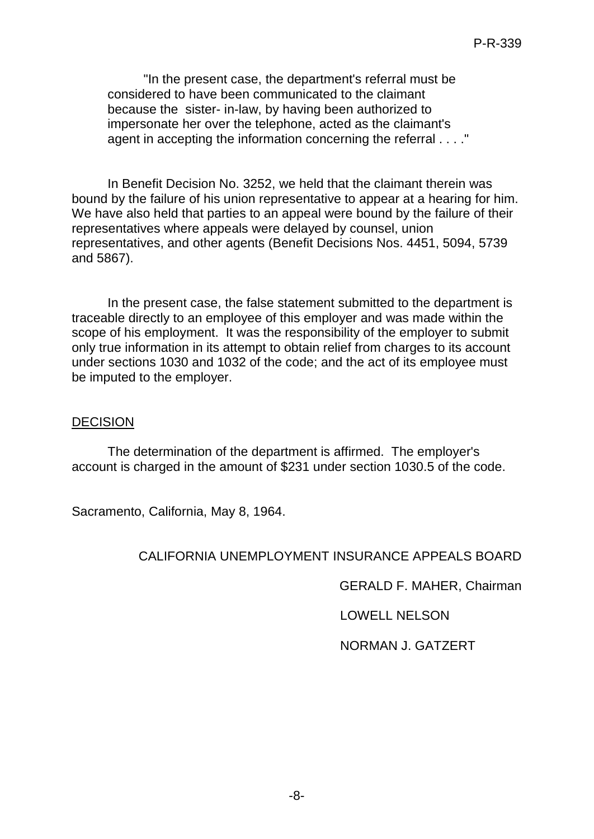"In the present case, the department's referral must be considered to have been communicated to the claimant because the sister- in-law, by having been authorized to impersonate her over the telephone, acted as the claimant's agent in accepting the information concerning the referral . . . ."

In Benefit Decision No. 3252, we held that the claimant therein was bound by the failure of his union representative to appear at a hearing for him. We have also held that parties to an appeal were bound by the failure of their representatives where appeals were delayed by counsel, union representatives, and other agents (Benefit Decisions Nos. 4451, 5094, 5739 and 5867).

In the present case, the false statement submitted to the department is traceable directly to an employee of this employer and was made within the scope of his employment. It was the responsibility of the employer to submit only true information in its attempt to obtain relief from charges to its account under sections 1030 and 1032 of the code; and the act of its employee must be imputed to the employer.

#### DECISION

The determination of the department is affirmed. The employer's account is charged in the amount of \$231 under section 1030.5 of the code.

Sacramento, California, May 8, 1964.

### CALIFORNIA UNEMPLOYMENT INSURANCE APPEALS BOARD

GERALD F. MAHER, Chairman

LOWELL NELSON

NORMAN J. GATZERT